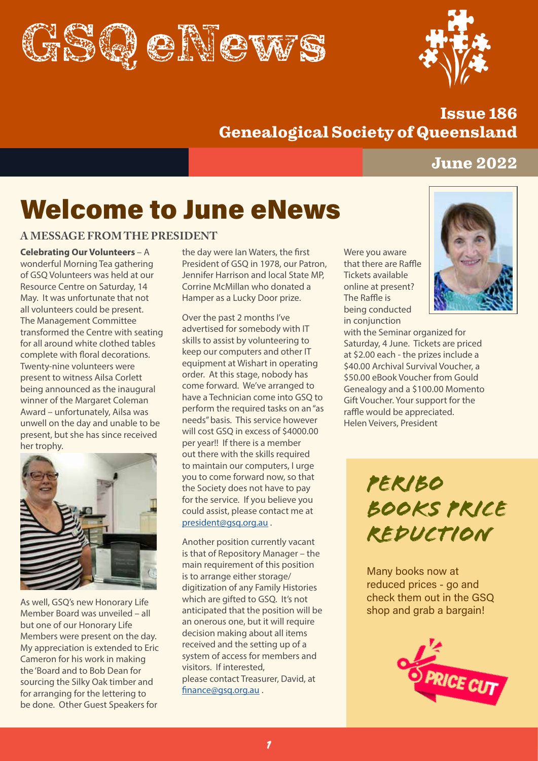



# Issue 186 Genealogical Society of Queensland

# June 2022

# Welcome to June eNews

### **A MESSAGE FROM THE PRESIDENT**

**Celebrating Our Volunteers** – A wonderful Morning Tea gathering of GSQ Volunteers was held at our Resource Centre on Saturday, 14 May. It was unfortunate that not all volunteers could be present. The Management Committee transformed the Centre with seating for all around white clothed tables complete with floral decorations. Twenty-nine volunteers were present to witness Ailsa Corlett being announced as the inaugural winner of the Margaret Coleman Award – unfortunately, Ailsa was unwell on the day and unable to be present, but she has since received her trophy.



As well, GSQ's new Honorary Life Member Board was unveiled – all but one of our Honorary Life Members were present on the day. My appreciation is extended to Eric Cameron for his work in making the 'Board and to Bob Dean for sourcing the Silky Oak timber and for arranging for the lettering to be done. Other Guest Speakers for

the day were Ian Waters, the first President of GSQ in 1978, our Patron, Jennifer Harrison and local State MP, Corrine McMillan who donated a Hamper as a Lucky Door prize.

Over the past 2 months I've advertised for somebody with IT skills to assist by volunteering to keep our computers and other IT equipment at Wishart in operating order. At this stage, nobody has come forward. We've arranged to have a Technician come into GSQ to perform the required tasks on an "as needs" basis. This service however will cost GSQ in excess of \$4000.00 per year!! If there is a member out there with the skills required to maintain our computers, I urge you to come forward now, so that the Society does not have to pay for the service. If you believe you could assist, please contact me at [president@gsq.org.au](mailto:president@gsq.org.au) .

Another position currently vacant is that of Repository Manager – the main requirement of this position is to arrange either storage/ digitization of any Family Histories which are gifted to GSO. It's not anticipated that the position will be an onerous one, but it will require decision making about all items received and the setting up of a system of access for members and visitors. If interested, please contact Treasurer, David, at [finance@gsq.org.au](mailto:finance@gsq.org.au) .

Were you aware that there are Raffle Tickets available online at present? The Raffle is being conducted in conjunction



with the Seminar organized for Saturday, 4 June. Tickets are priced at \$2.00 each - the prizes include a \$40.00 Archival Survival Voucher, a \$50.00 eBook Voucher from Gould Genealogy and a \$100.00 Momento Gift Voucher. Your support for the raffle would be appreciated. Helen Veivers, President

> *Peribo books Price Reduction*

Many books now at reduced prices - go and check them out in the GSQ shop and grab a bargain!

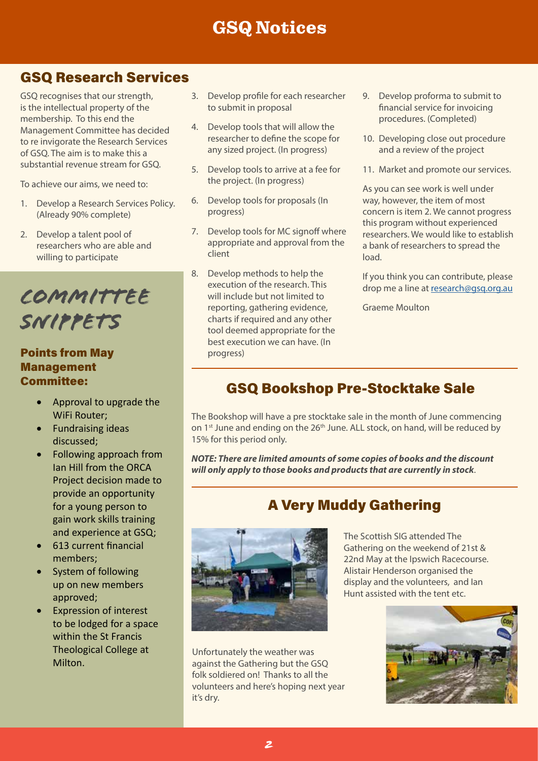# GSQ Notices

# GSQ Research Services

GSQ recognises that our strength, is the intellectual property of the membership. To this end the Management Committee has decided to re invigorate the Research Services of GSQ. The aim is to make this a substantial revenue stream for GSQ.

To achieve our aims, we need to:

- 1. Develop a Research Services Policy. (Already 90% complete)
- 2. Develop a talent pool of researchers who are able and willing to participate

*Committee SNippets*

# Points from May Management Committee:

- • Approval to upgrade the WiFi Router;
- • Fundraising ideas discussed;
- Following approach from Ian Hill from the ORCA Project decision made to provide an opportunity for a young person to gain work skills training and experience at GSQ;
- 613 current financial members;
- System of following up on new members approved;
- **Expression of interest** to be lodged for a space within the St Francis Theological College at Milton.
- 3. Develop profile for each researcher to submit in proposal
- 4. Develop tools that will allow the researcher to define the scope for any sized project. (In progress)
- 5. Develop tools to arrive at a fee for the project. (In progress)
- 6. Develop tools for proposals (In progress)
- 7. Develop tools for MC signoff where appropriate and approval from the client
- 8. Develop methods to help the execution of the research. This will include but not limited to reporting, gathering evidence, charts if required and any other tool deemed appropriate for the best execution we can have. (In progress)
- 9. Develop proforma to submit to financial service for invoicing procedures. (Completed)
- 10. Developing close out procedure and a review of the project
- 11. Market and promote our services.

As you can see work is well under way, however, the item of most concern is item 2. We cannot progress this program without experienced researchers. We would like to establish a bank of researchers to spread the load.

If you think you can contribute, please drop me a line at [research@gsq.org.au](mailto:research@gsq.org.au)

Graeme Moulton

# GSQ Bookshop Pre-Stocktake Sale

The Bookshop will have a pre stocktake sale in the month of June commencing on 1<sup>st</sup> June and ending on the 26<sup>th</sup> June. ALL stock, on hand, will be reduced by 15% for this period only.

*NOTE: There are limited amounts of some copies of books and the discount will only apply to those books and products that are currently in stock*.

# A Very Muddy Gathering



Unfortunately the weather was against the Gathering but the GSQ folk soldiered on! Thanks to all the volunteers and here's hoping next year it's dry.

The Scottish SIG attended The Gathering on the weekend of 21st & 22nd May at the Ipswich Racecourse. Alistair Henderson organised the display and the volunteers, and Ian Hunt assisted with the tent etc.

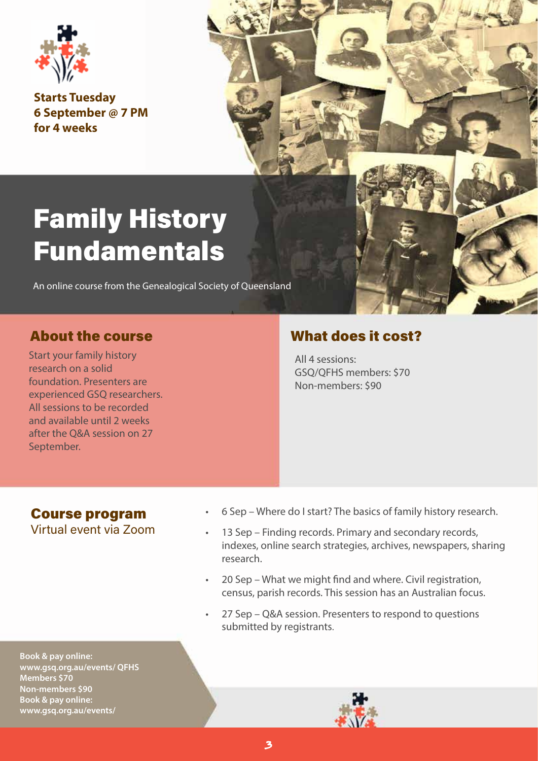

**Starts Tuesday 6 September @ 7 PM for 4 weeks**

# Family History Fundamentals

An online course from the Genealogical Society of Queensland

Start your family history research on a solid foundation. Presenters are experienced GSQ researchers. All sessions to be recorded and available until 2 weeks after the Q&A session on 27 September.

# About the course What does it cost?

All 4 sessions: GSQ/QFHS members: \$70 Non-members: \$90

### Course program Virtual event via Zoom

- 6 Sep Where do I start? The basics of family history research.
- 13 Sep Finding records. Primary and secondary records, indexes, online search strategies, archives, newspapers, sharing research.
- 20 Sep What we might find and where. Civil registration, census, parish records. This session has an Australian focus.
- 27 Sep Q&A session. Presenters to respond to questions submitted by registrants.

**Book & pay online: www.gsq.org.au/events/ QFHS Members \$70 Non-members \$90 Book & pay online: www.gsq.org.au/events/**

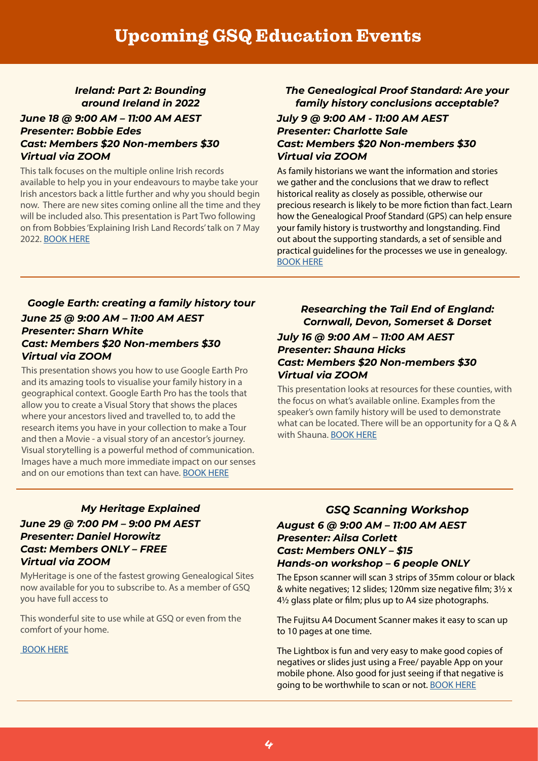## *Ireland: Part 2: Bounding around Ireland in 2022*

#### *June 18 @ 9:00 AM – 11:00 AM AEST Presenter: Bobbie Edes Cast: Members \$20 Non-members \$30 Virtual via ZOOM*

This talk focuses on the multiple online Irish records available to help you in your endeavours to maybe take your Irish ancestors back a little further and why you should begin now. There are new sites coming online all the time and they will be included also. This presentation is Part Two following on from Bobbies 'Explaining Irish Land Records' talk on 7 May 2022. [BOOK HERE](https://www.gsq.org.au/event/ireland-part-2-bounding-around-ireland-in-2022/)

### *The Genealogical Proof Standard: Are your family history conclusions acceptable?*

#### *July 9 @ 9:00 AM - 11:00 AM AEST Presenter: Charlotte Sale Cast: Members \$20 Non-members \$30 Virtual via ZOOM*

As family historians we want the information and stories we gather and the conclusions that we draw to reflect historical reality as closely as possible, otherwise our precious research is likely to be more fiction than fact. Learn how the Genealogical Proof Standard (GPS) can help ensure your family history is trustworthy and longstanding. Find out about the supporting standards, a set of sensible and practical guidelines for the processes we use in genealogy. [BOOK HERE](https://www.gsq.org.au/event/the-genealogical-proof-standard-are-your-family-history-conclusions-acceptable/)

#### *Google Earth: creating a family history tour June 25 @ 9:00 AM – 11:00 AM AEST Presenter: Sharn White Cast: Members \$20 Non-members \$30 Virtual via ZOOM*

This presentation shows you how to use Google Earth Pro and its amazing tools to visualise your family history in a geographical context. Google Earth Pro has the tools that allow you to create a Visual Story that shows the places where your ancestors lived and travelled to, to add the research items you have in your collection to make a Tour and then a Movie - a visual story of an ancestor's journey. Visual storytelling is a powerful method of communication. Images have a much more immediate impact on our senses and on our emotions than text can have. [BOOK HERE](https://www.gsq.org.au/event/google-earth-creating-a-family-history-tour/)

### *Researching the Tail End of England: Cornwall, Devon, Somerset & Dorset*

#### *July 16 @ 9:00 AM – 11:00 AM AEST Presenter: Shauna Hicks Cast: Members \$20 Non-members \$30 Virtual via ZOOM*

This presentation looks at resources for these counties, with the focus on what's available online. Examples from the speaker's own family history will be used to demonstrate what can be located. There will be an opportunity for a Q & A with Shauna. [BOOK HERE](https://www.gsq.org.au/event/researching-the-tail-end-of-england-cornwall-devon-somerset-dorset/)

### *My Heritage Explained June 29 @ 7:00 PM – 9:00 PM AEST Presenter: Daniel Horowitz Cast: Members ONLY – FREE Virtual via ZOOM*

MyHeritage is one of the fastest growing Genealogical Sites now available for you to subscribe to. As a member of GSQ you have full access to

This wonderful site to use while at GSQ or even from the comfort of your home.

 [BOOK HERE](https://www.gsq.org.au/event/myheritage-with-daniel-horowitz-members-only-free-event/)

## *GSQ Scanning Workshop August 6 @ 9:00 AM – 11:00 AM AEST Presenter: Ailsa Corlett Cast: Members ONLY – \$15 Hands-on workshop – 6 people ONLY*

The Epson scanner will scan 3 strips of 35mm colour or black & white negatives; 12 slides; 120mm size negative film; 3½ x 4½ glass plate or film; plus up to A4 size photographs.

The Fujitsu A4 Document Scanner makes it easy to scan up to 10 pages at one time.

The Lightbox is fun and very easy to make good copies of negatives or slides just using a Free/ payable App on your mobile phone. Also good for just seeing if that negative is going to be worthwhile to scan or not. [BOOK HERE](https://www.gsq.org.au/event/gsq-scanning-workshop-members-only/)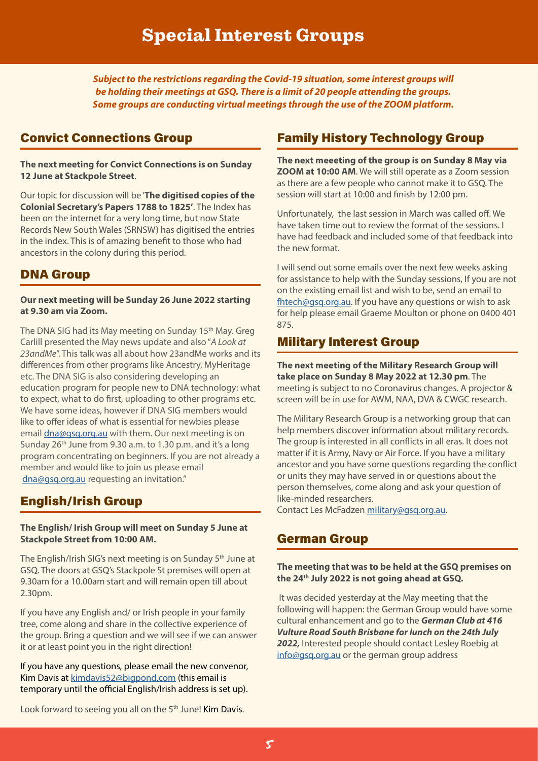*Subject to the restrictions regarding the Covid-19 situation, some interest groups will be holding their meetings at GSQ. There is a limit of 20 people attending the groups. Some groups are conducting virtual meetings through the use of the ZOOM platform.*

# Convict Connections Group

**The next meeting for Convict Connections is on Sunday 12 June at Stackpole Street**.

Our topic for discussion will be '**The digitised copies of the Colonial Secretary's Papers 1788 to 1825'**. The Index has been on the internet for a very long time, but now State Records New South Wales (SRNSW) has digitised the entries in the index. This is of amazing benefit to those who had ancestors in the colony during this period.

# DNA Group

#### **Our next meeting will be Sunday 26 June 2022 starting at 9.30 am via Zoom.**

The DNA SIG had its May meeting on Sunday 15<sup>th</sup> May. Greg Carlill presented the May news update and also "*A Look at 23andMe*". This talk was all about how 23andMe works and its differences from other programs like Ancestry, MyHeritage etc. The DNA SIG is also considering developing an education program for people new to DNA technology: what to expect, what to do first, uploading to other programs etc. We have some ideas, however if DNA SIG members would like to offer ideas of what is essential for newbies please email [dna@gsq.org.au](mailto:dna@gsq.org.au) with them. Our next meeting is on Sunday 26<sup>th</sup> June from 9.30 a.m. to 1.30 p.m. and it's a long program concentrating on beginners. If you are not already a member and would like to join us please email [dna@gsq.org.au](mailto:dna@gsq.org.au) requesting an invitation."

# English/Irish Group

#### **The English/ Irish Group will meet on Sunday 5 June at Stackpole Street from 10:00 AM.**

The English/Irish SIG's next meeting is on Sunday 5<sup>th</sup> June at GSQ. The doors at GSQ's Stackpole St premises will open at 9.30am for a 10.00am start and will remain open till about 2.30pm.

If you have any English and/ or Irish people in your family tree, come along and share in the collective experience of the group. Bring a question and we will see if we can answer it or at least point you in the right direction!

If you have any questions, please email the new convenor, Kim Davis at [kimdavis52@bigpond.com](mailto:kimdavis52@bigpond.com) (this email is temporary until the official English/Irish address is set up).

# Family History Technology Group

**The next meeeting of the group is on Sunday 8 May via ZOOM at 10:00 AM**. We will still operate as a Zoom session as there are a few people who cannot make it to GSQ. The session will start at 10:00 and finish by 12:00 pm.

Unfortunately, the last session in March was called off. We have taken time out to review the format of the sessions. I have had feedback and included some of that feedback into the new format.

I will send out some emails over the next few weeks asking for assistance to help with the Sunday sessions, If you are not on the existing email list and wish to be, send an email to [fhtech@gsq.org.au](mailto:fhtech%40gsq.org.au?subject=). If you have any questions or wish to ask for help please email Graeme Moulton or phone on 0400 401 875.

# Military Interest Group

**The next meeting of the Military Research Group will take place on Sunday 8 May 2022 at 12.30 pm**. The meeting is subject to no Coronavirus changes. A projector & screen will be in use for AWM, NAA, DVA & CWGC research.

The Military Research Group is a networking group that can help members discover information about military records. The group is interested in all conflicts in all eras. It does not matter if it is Army, Navy or Air Force. If you have a military ancestor and you have some questions regarding the conflict or units they may have served in or questions about the person themselves, come along and ask your question of like-minded researchers.

Contact Les McFadzen [military@gsq.org.au](mailto:military%40gsq.org.au?subject=).

# German Group

#### **The meeting that was to be held at the GSQ premises on the 24th July 2022 is not going ahead at GSQ.**

 It was decided yesterday at the May meeting that the following will happen: the German Group would have some cultural enhancement and go to the *German Club at 416 Vulture Road South Brisbane for lunch on the 24th July 2022,* Interested people should contact Lesley Roebig at [info@gsq.org.au](mailto:info@gsq.org.au) or the german group address

Look forward to seeing you all on the 5<sup>th</sup> June! Kim Davis.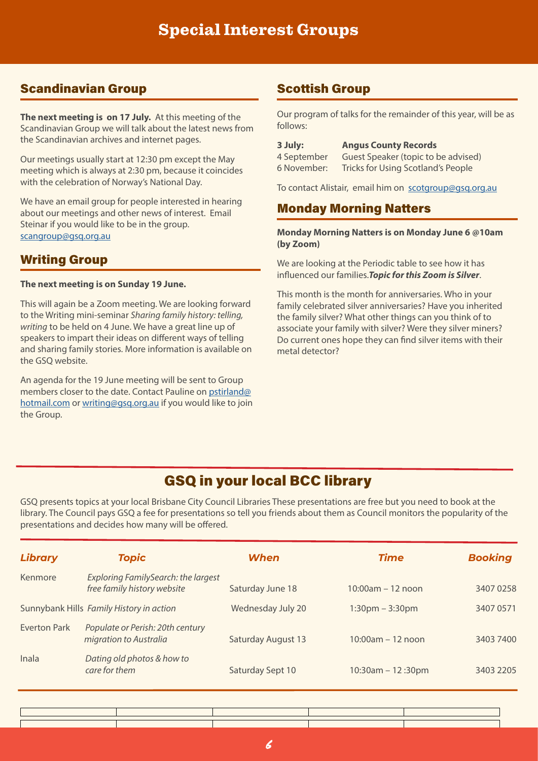# Scandinavian Group Scottish Group

**The next meeting is on 17 July.** At this meeting of the Scandinavian Group we will talk about the latest news from the Scandinavian archives and internet pages.

Our meetings usually start at 12:30 pm except the May meeting which is always at 2:30 pm, because it coincides with the celebration of Norway's National Day.

We have an email group for people interested in hearing about our meetings and other news of interest. Email Steinar if you would like to be in the group.

# Writing Group

#### **The next meeting is on Sunday 19 June.**

This will again be a Zoom meeting. We are looking forward to the Writing mini-seminar *Sharing family history: telling, writing* to be held on 4 June. We have a great line up of speakers to impart their ideas on different ways of telling and sharing family stories. More information is available on the GSQ website.

An agenda for the 19 June meeting will be sent to Group members closer to the date. Contact Pauline on [pstirland@](mailto:pstirland@hotmail.com) [hotmail.com](mailto:pstirland@hotmail.com) or [writing@gsq.org.au](mailto:writing@gsq.org.au) if you would like to join the Group.

Our program of talks for the remainder of this year, will be as follows:

**3 July: Angus County Records** 4 September Guest Speaker (topic to be advised) 6 November: Tricks for Using Scotland's People

To contact Alistair, email him on [scotgroup@gsq.org.au](mailto:scotgroup%40gsq.org.au%20?subject=)

# Monday Morning Natters

#### [scangroup@gsq.org.au](mailto:scangroup%40gsq.org.au?subject=) **Monday Morning Natters is on Monday June 6 @10am (by Zoom)**

We are looking at the Periodic table to see how it has influenced our families.*Topic for this Zoom is Silver*.

This month is the month for anniversaries. Who in your family celebrated silver anniversaries? Have you inherited the family silver? What other things can you think of to associate your family with silver? Were they silver miners? Do current ones hope they can find silver items with their metal detector?

# GSQ in your local BCC library

GSQ presents topics at your local Brisbane City Council Libraries These presentations are free but you need to book at the library. The Council pays GSQ a fee for presentations so tell you friends about them as Council monitors the popularity of the presentations and decides how many will be offered.

| <b>Library</b> | <b>Topic</b>                                                              | When                      | <b>Time</b>            | <b>Booking</b> |
|----------------|---------------------------------------------------------------------------|---------------------------|------------------------|----------------|
| Kenmore        | <b>Exploring FamilySearch: the largest</b><br>free family history website | Saturday June 18          | $10:00am - 12 noon$    | 3407 0258      |
|                | Sunnybank Hills Family History in action                                  | Wednesday July 20         | $1:30$ pm $-3:30$ pm   | 3407 0571      |
| Everton Park   | Populate or Perish: 20th century<br>migration to Australia                | <b>Saturday August 13</b> | $10:00$ am $-12$ noon  | 3403 7400      |
| Inala          | Dating old photos & how to<br>care for them                               | Saturday Sept 10          | $10:30$ am $-12:30$ pm | 3403 2205      |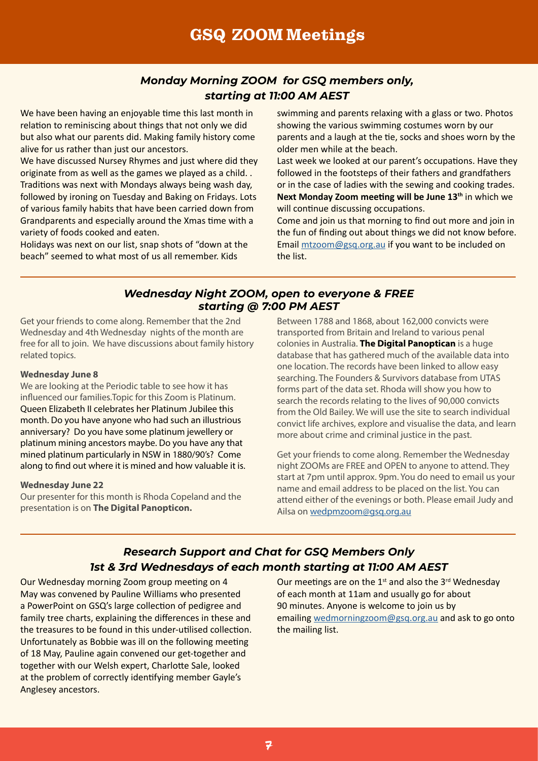# *Monday Morning ZOOM for GSQ members only, starting at 11:00 AM AEST*

We have been having an enjoyable time this last month in relation to reminiscing about things that not only we did but also what our parents did. Making family history come alive for us rather than just our ancestors.

We have discussed Nursey Rhymes and just where did they originate from as well as the games we played as a child. . Traditions was next with Mondays always being wash day, followed by ironing on Tuesday and Baking on Fridays. Lots of various family habits that have been carried down from Grandparents and especially around the Xmas time with a variety of foods cooked and eaten.

Holidays was next on our list, snap shots of "down at the beach" seemed to what most of us all remember. Kids

swimming and parents relaxing with a glass or two. Photos showing the various swimming costumes worn by our parents and a laugh at the tie, socks and shoes worn by the older men while at the beach.

Last week we looked at our parent's occupations. Have they followed in the footsteps of their fathers and grandfathers or in the case of ladies with the sewing and cooking trades. **Next Monday Zoom meeting will be June 13th** in which we will continue discussing occupations.

Come and join us that morning to find out more and join in the fun of finding out about things we did not know before. Email [mtzoom@gsq.org.au](mailto:mtzoom@gsq.org.au) if you want to be included on the list.

#### *Wednesday Night ZOOM, open to everyone & FREE starting @ 7:00 PM AEST*

Get your friends to come along. Remember that the 2nd Wednesday and 4th Wednesday nights of the month are free for all to join. We have discussions about family history related topics.

#### **Wednesday June 8**

We are looking at the Periodic table to see how it has influenced our families.Topic for this Zoom is Platinum. Queen Elizabeth II celebrates her Platinum Jubilee this month. Do you have anyone who had such an illustrious anniversary? Do you have some platinum jewellery or platinum mining ancestors maybe. Do you have any that mined platinum particularly in NSW in 1880/90's? Come along to find out where it is mined and how valuable it is.

#### **Wednesday June 22**

Our presenter for this month is Rhoda Copeland and the presentation is on **The Digital Panopticon.**

Between 1788 and 1868, about 162,000 convicts were transported from Britain and Ireland to various penal colonies in Australia. **The Digital Panoptican** is a huge database that has gathered much of the available data into one location. The records have been linked to allow easy searching. The Founders & Survivors database from UTAS forms part of the data set. Rhoda will show you how to search the records relating to the lives of 90,000 convicts from the Old Bailey. We will use the site to search individual convict life archives, explore and visualise the data, and learn more about crime and criminal justice in the past.

Get your friends to come along. Remember the Wednesday night ZOOMs are FREE and OPEN to anyone to attend. They start at 7pm until approx. 9pm. You do need to email us your name and email address to be placed on the list. You can attend either of the evenings or both. Please email Judy and Ailsa on [wedpmzoom@gsq.org.au](mailto:wedpmzoom@gsq.org.au)

# *Research Support and Chat for GSQ Members Only 1st & 3rd Wednesdays of each month starting at 11:00 AM AEST*

Our Wednesday morning Zoom group meeting on 4 May was convened by Pauline Williams who presented a PowerPoint on GSQ's large collection of pedigree and family tree charts, explaining the differences in these and the treasures to be found in this under-utilised collection. Unfortunately as Bobbie was ill on the following meeting of 18 May, Pauline again convened our get-together and together with our Welsh expert, Charlotte Sale, looked at the problem of correctly identifying member Gayle's Anglesey ancestors.

Our meetings are on the  $1^{st}$  and also the  $3^{rd}$  Wednesday of each month at 11am and usually go for about 90 minutes. Anyone is welcome to join us by emailing [wedmorningzoom@gsq.org.au](mailto:wedmorningzoom@gsq.org.au) and ask to go onto the mailing list.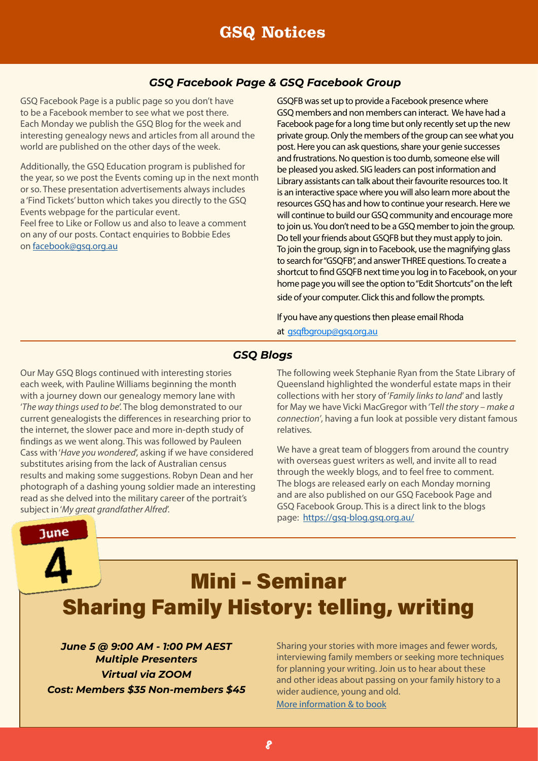# GSQ Notices

#### *GSQ Facebook Page & GSQ Facebook Group*

GSQ Facebook Page is a public page so you don't have to be a Facebook member to see what we post there. Each Monday we publish the GSQ Blog for the week and interesting genealogy news and articles from all around the world are published on the other days of the week.

Additionally, the GSQ Education program is published for the year, so we post the Events coming up in the next month or so. These presentation advertisements always includes a 'Find Tickets' button which takes you directly to the GSQ Events webpage for the particular event. Feel free to Like or Follow us and also to leave a comment

on any of our posts. Contact enquiries to Bobbie Edes on [facebook@gsq.org.au](mailto:facebook@gsq.org.au)

GSQFB was set up to provide a Facebook presence where GSQ members and non members can interact. We have had a Facebook page for a long time but only recently set up the new private group. Only the members of the group can see what you post. Here you can ask questions, share your genie successes and frustrations. No question is too dumb, someone else will be pleased you asked. SIG leaders can post information and Library assistants can talk about their favourite resources too. It is an interactive space where you will also learn more about the resources GSQ has and how to continue your research. Here we will continue to build our GSO community and encourage more to join us. You don't need to be a GSQ member to join the group. Do tell your friends about GSQFB but they must apply to join. To join the group, sign in to Facebook, use the magnifying glass to search for "GSQFB", and answer THREE questions. To create a shortcut to find GSQFB next time you log in to Facebook, on your home page you will see the option to "Edit Shortcuts" on the left side of your computer. Click this and follow the prompts.

If you have any questions then please email Rhoda

at  [gsqfbgroup@gsq.org.au](mailto:gsqfbgroup@gsq.org.au)

#### *GSQ Blogs*

Our May GSQ Blogs continued with interesting stories each week, with Pauline Williams beginning the month with a journey down our genealogy memory lane with '*The way things used to be*'. The blog demonstrated to our current genealogists the differences in researching prior to the internet, the slower pace and more in-depth study of findings as we went along. This was followed by Pauleen Cass with '*Have you wondered*', asking if we have considered substitutes arising from the lack of Australian census results and making some suggestions. Robyn Dean and her photograph of a dashing young soldier made an interesting read as she delved into the military career of the portrait's subject in '*My great grandfather Alfred*'.

June

The following week Stephanie Ryan from the State Library of Queensland highlighted the wonderful estate maps in their collections with her story of '*Family links to land*' and lastly for May we have Vicki MacGregor with 'T*ell the story – make a connection'*, having a fun look at possible very distant famous relatives.

We have a great team of bloggers from around the country with overseas guest writers as well, and invite all to read through the weekly blogs, and to feel free to comment. The blogs are released early on each Monday morning and are also published on our GSQ Facebook Page and GSQ Facebook Group. This is a direct link to the blogs page: <https://gsq-blog.gsq.org.au/>

# Mini – Seminar Sharing Family History: telling, writing

*June 5 @ 9:00 AM - 1:00 PM AEST Multiple Presenters Virtual via ZOOM Cost: Members \$35 Non-members \$45*

Sharing your stories with more images and fewer words, interviewing family members or seeking more techniques for planning your writing. Join us to hear about these and other ideas about passing on your family history to a wider audience, young and old.

[More information & to book](https://www.gsq.org.au/event/sharing-family-history-telling-writing/)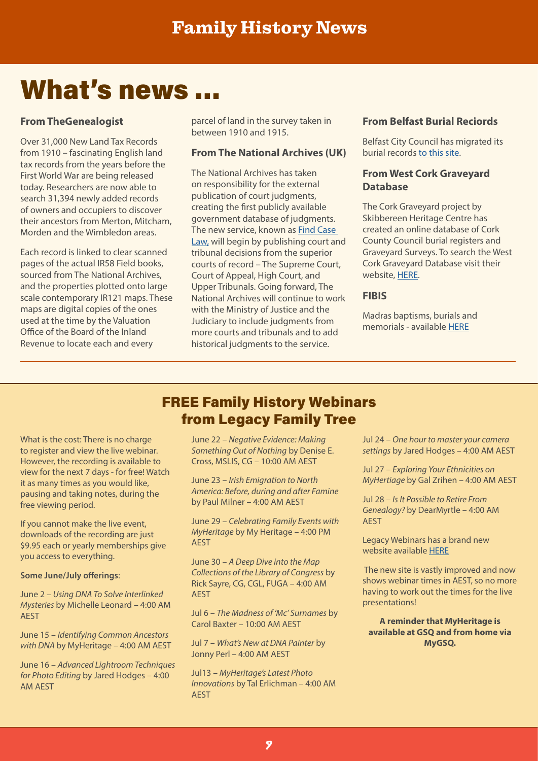# What's news …

#### **From TheGenealogist**

Over 31,000 New Land Tax Records from 1910 – fascinating English land tax records from the years before the First World War are being released today. Researchers are now able to search 31,394 newly added records of owners and occupiers to discover their ancestors from Merton, Mitcham, Morden and the Wimbledon areas.

Each record is linked to clear scanned pages of the actual IR58 Field books, sourced from The National Archives, and the properties plotted onto large scale contemporary IR121 maps. These maps are digital copies of the ones used at the time by the Valuation Office of the Board of the Inland Revenue to locate each and every

parcel of land in the survey taken in between 1910 and 1915.

#### **From The National Archives (UK)**

The National Archives has taken on responsibility for the external publication of court judgments, creating the first publicly available government database of judgments. The new service, known as **Find Case** [Law,](https://caselaw.nationalarchives.gov.uk/) will begin by publishing court and tribunal decisions from the superior courts of record – The Supreme Court, Court of Appeal, High Court, and Upper Tribunals. Going forward, The National Archives will continue to work with the Ministry of Justice and the Judiciary to include judgments from more courts and tribunals and to add historical judgments to the service.

#### **From Belfast Burial Reciords**

Belfast City Council has migrated its burial records [to this site](https://online.belfastcity.gov.uk/burialsearch/).

#### **From West Cork Graveyard Database**

The Cork Graveyard project by Skibbereen Heritage Centre has created an online database of Cork County Council burial registers and Graveyard Surveys. To search the West Cork Graveyard Database visit their website, [HERE.](http://www.graveyards.skibbheritage.com/Search.aspx)

#### **FIBIS**

Madras baptisms, burials and memorials - available [HERE](https://www.fibis.org/coimbatore/)

What is the cost: There is no charge to register and view the live webinar. However, the recording is available to view for the next 7 days - for free! Watch it as many times as you would like, pausing and taking notes, during the free viewing period.

If you cannot make the live event, downloads of the recording are just \$9.95 each or yearly memberships give you access to everything.

#### **Some June/July offerings**:

June 2 – *Using DNA To Solve Interlinked Mysteries* by Michelle Leonard – 4:00 AM AEST

June 15 – *Identifying Common Ancestors with DNA* by MyHeritage – 4:00 AM AEST

June 16 – *Advanced Lightroom Techniques for Photo Editing* by Jared Hodges – 4:00 AM AEST

# FREE Family History Webinars from Legacy Family Tree

June 22 – *Negative Evidence: Making Something Out of Nothing* by Denise E. Cross, MSLIS, CG – 10:00 AM AEST

June 23 – *Irish Emigration to North America: Before, during and after Famine* by Paul Milner – 4:00 AM AEST

June 29 – *Celebrating Family Events with MyHeritage* by My Heritage – 4:00 PM AEST

June 30 – *A Deep Dive into the Map Collections of the Library of Congress* by Rick Sayre, CG, CGL, FUGA – 4:00 AM AEST

Jul 6 – *The Madness of 'Mc' Surnames* by Carol Baxter – 10:00 AM AEST

Jul 7 – *What's New at DNA Painter* by Jonny Perl – 4:00 AM AEST

Jul13 – *MyHeritage's Latest Photo Innovations* by Tal Erlichman – 4:00 AM AEST

Jul 24 – *One hour to master your camera settings* by Jared Hodges – 4:00 AM AEST

Jul 27 – *Exploring Your Ethnicities on MyHertiage* by Gal Zrihen – 4:00 AM AEST

Jul 28 – *Is It Possible to Retire From Genealogy?* by DearMyrtle – 4:00 AM AEST

Legacy Webinars has a brand new website available [HERE](https://familytreewebinars.com/)

 The new site is vastly improved and now shows webinar times in AEST, so no more having to work out the times for the live presentations!

**A reminder that MyHeritage is available at GSQ and from home via MyGSQ.**